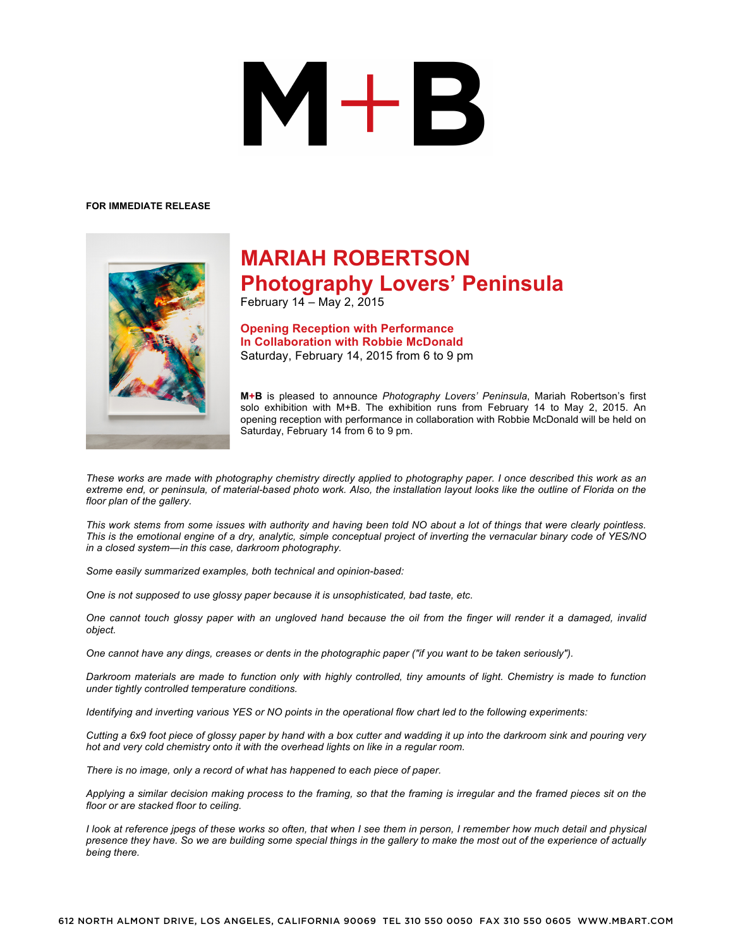## $\mathbf{M}+\mathbf{B}$

## **FOR IMMEDIATE RELEASE**



## **MARIAH ROBERTSON Photography Lovers' Peninsula**

February 14 – May 2, 2015

**Opening Reception with Performance In Collaboration with Robbie McDonald** Saturday, February 14, 2015 from 6 to 9 pm

**M+B** is pleased to announce *Photography Lovers' Peninsula*, Mariah Robertson's first solo exhibition with M+B. The exhibition runs from February 14 to May 2, 2015. An opening reception with performance in collaboration with Robbie McDonald will be held on Saturday, February 14 from 6 to 9 pm.

*These works are made with photography chemistry directly applied to photography paper. I once described this work as an extreme end, or peninsula, of material-based photo work. Also, the installation layout looks like the outline of Florida on the floor plan of the gallery.*

*This work stems from some issues with authority and having been told NO about a lot of things that were clearly pointless. This is the emotional engine of a dry, analytic, simple conceptual project of inverting the vernacular binary code of YES/NO in a closed system—in this case, darkroom photography.*

*Some easily summarized examples, both technical and opinion-based:*

*One is not supposed to use glossy paper because it is unsophisticated, bad taste, etc.*

*One cannot touch glossy paper with an ungloved hand because the oil from the finger will render it a damaged, invalid object.*

*One cannot have any dings, creases or dents in the photographic paper ("if you want to be taken seriously").*

*Darkroom materials are made to function only with highly controlled, tiny amounts of light. Chemistry is made to function under tightly controlled temperature conditions.*

*Identifying and inverting various YES or NO points in the operational flow chart led to the following experiments:*

*Cutting a 6x9 foot piece of glossy paper by hand with a box cutter and wadding it up into the darkroom sink and pouring very hot and very cold chemistry onto it with the overhead lights on like in a regular room.*

*There is no image, only a record of what has happened to each piece of paper.*

*Applying a similar decision making process to the framing, so that the framing is irregular and the framed pieces sit on the floor or are stacked floor to ceiling.*

*I look at reference jpegs of these works so often, that when I see them in person, I remember how much detail and physical presence they have. So we are building some special things in the gallery to make the most out of the experience of actually being there.*